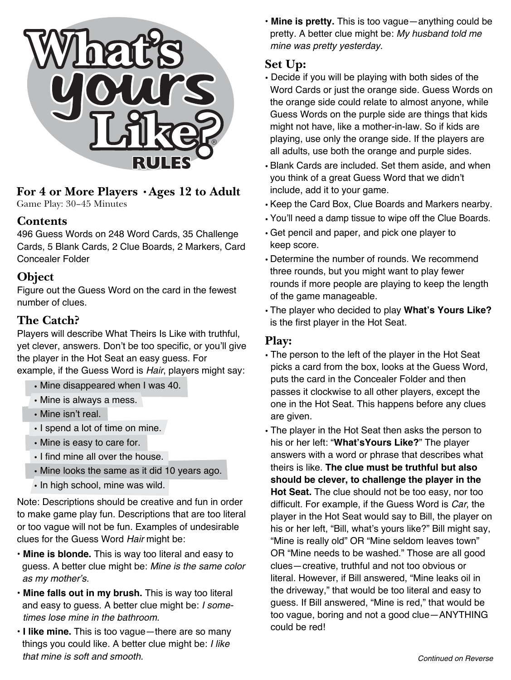

### **For 4 or More Players •Ages 12 to Adult** Game Play: 30–45 Minutes

## **Contents**

496 Guess Words on 248 Word Cards, 35 Challenge Cards, 5 Blank Cards, 2 Clue Boards, 2 Markers, Card Concealer Folder

## **Object**

Figure out the Guess Word on the card in the fewest number of clues.

## **The Catch?**

Players will describe What Theirs Is Like with truthful, yet clever, answers. Don't be too specific, or you'll give the player in the Hot Seat an easy guess. For example, if the Guess Word is Hair, players might say:

- Mine disappeared when I was 40.
- Mine is always a mess.
- Mine isn't real.
- I spend a lot of time on mine.
- Mine is easy to care for.
- I find mine all over the house.
- Mine looks the same as it did 10 years ago.
- In high school, mine was wild.

Note: Descriptions should be creative and fun in order to make game play fun. Descriptions that are too literal or too vague will not be fun. Examples of undesirable clues for the Guess Word Hair might be:

- **Mine is blonde.** This is way too literal and easy to guess. A better clue might be: Mine is the same color as my mother's.
- **Mine falls out in my brush.** This is way too literal and easy to guess. A better clue might be: I some times lose mine in the bathroom.
- **I like mine.** This is too vague—there are so many things you could like. A better clue might be: I like that mine is soft and smooth.

• **Mine is pretty.** This is too vague—anything could be pretty. A better clue might be: My husband told me mine was pretty yesterday.

## **Set Up:**

- Decide if you will be playing with both sides of the Word Cards or just the orange side. Guess Words on the orange side could relate to almost anyone, while Guess Words on the purple side are things that kids might not have, like a mother-in-law. So if kids are playing, use only the orange side. If the players are all adults, use both the orange and purple sides.
- Blank Cards are included. Set them aside, and when you think of a great Guess Word that we didn't include, add it to your game.
- Keep the Card Box, Clue Boards and Markers nearby.
- You'll need a damp tissue to wipe off the Clue Boards.
- Get pencil and paper, and pick one player to keep score.
- Determine the number of rounds. We recommend three rounds, but you might want to play fewer rounds if more people are playing to keep the length of the game manageable.
- The player who decided to play **What's Yours Like?** is the first player in the Hot Seat.

## **Play:**

- The person to the left of the player in the Hot Seat picks a card from the box, looks at the Guess Word, puts the card in the Concealer Folder and then passes it clockwise to all other players, except the one in the Hot Seat. This happens before any clues are given.
- The player in the Hot Seat then asks the person to his or her left: "**What'sYours Like?**" The player answers with a word or phrase that describes what theirs is like. **The clue must be truthful but also should be clever, to challenge the player in the Hot Seat.** The clue should not be too easy, nor too difficult. For example, if the Guess Word is Car, the player in the Hot Seat would say to Bill, the player on his or her left, "Bill, what's yours like?" Bill might say, "Mine is really old" OR "Mine seldom leaves town" OR "Mine needs to be washed." Those are all good clues—creative, truthful and not too obvious or literal. However, if Bill answered, "Mine leaks oil in the driveway," that would be too literal and easy to guess. If Bill answered, "Mine is red," that would be too vague, boring and not a good clue—ANYTHING could be red!